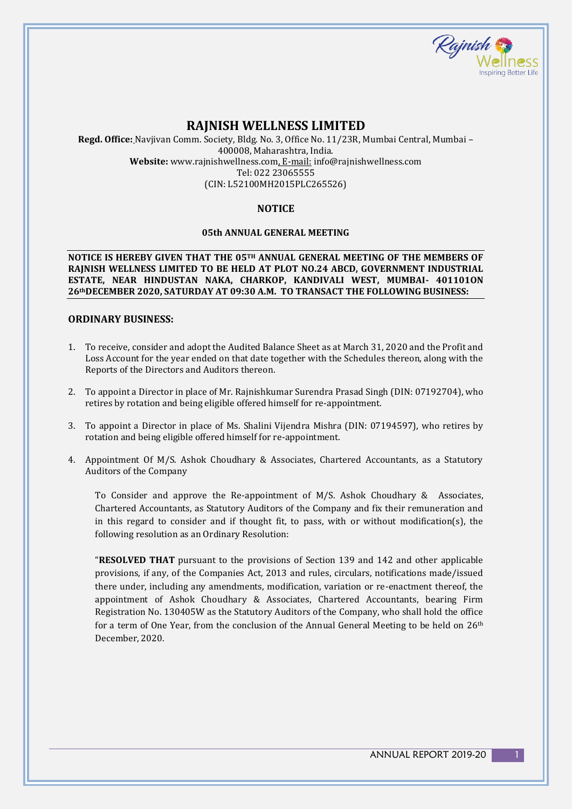

# **RAJNISH WELLNESS LIMITED**

**Regd. Office:** Navjivan Comm. Society, Bldg. No. 3, Office No. 11/23R, Mumbai Central, Mumbai – 400008, Maharashtra, India. **Website:** www.rajnishwellness.com, E-mail: info@rajnishwellness.com Tel: 022 23065555 (CIN: L52100MH2015PLC265526)

## **NOTICE**

#### **05th ANNUAL GENERAL MEETING**

**NOTICE IS HEREBY GIVEN THAT THE 05TH ANNUAL GENERAL MEETING OF THE MEMBERS OF RAJNISH WELLNESS LIMITED TO BE HELD AT PLOT NO.24 ABCD, GOVERNMENT INDUSTRIAL ESTATE, NEAR HINDUSTAN NAKA, CHARKOP, KANDIVALI WEST, MUMBAI- 401101ON 26thDECEMBER 2020, SATURDAY AT 09:30 A.M. TO TRANSACT THE FOLLOWING BUSINESS:**

#### **ORDINARY BUSINESS:**

- 1. To receive, consider and adopt the Audited Balance Sheet as at March 31, 2020 and the Profit and Loss Account for the year ended on that date together with the Schedules thereon, along with the Reports of the Directors and Auditors thereon.
- 2. To appoint a Director in place of Mr. Rajnishkumar Surendra Prasad Singh (DIN: 07192704), who retires by rotation and being eligible offered himself for re-appointment.
- 3. To appoint a Director in place of Ms. Shalini Vijendra Mishra (DIN: 07194597), who retires by rotation and being eligible offered himself for re-appointment.
- 4. Appointment Of M/S. Ashok Choudhary & Associates, Chartered Accountants, as a Statutory Auditors of the Company

To Consider and approve the Re-appointment of M/S. Ashok Choudhary & Associates, Chartered Accountants, as Statutory Auditors of the Company and fix their remuneration and in this regard to consider and if thought fit, to pass, with or without modification(s), the following resolution as an Ordinary Resolution:

"**RESOLVED THAT** pursuant to the provisions of Section 139 and 142 and other applicable provisions, if any, of the Companies Act, 2013 and rules, circulars, notifications made/issued there under, including any amendments, modification, variation or re-enactment thereof, the appointment of Ashok Choudhary & Associates, Chartered Accountants, bearing Firm Registration No. 130405W as the Statutory Auditors of the Company, who shall hold the office for a term of One Year, from the conclusion of the Annual General Meeting to be held on  $26<sup>th</sup>$ December, 2020.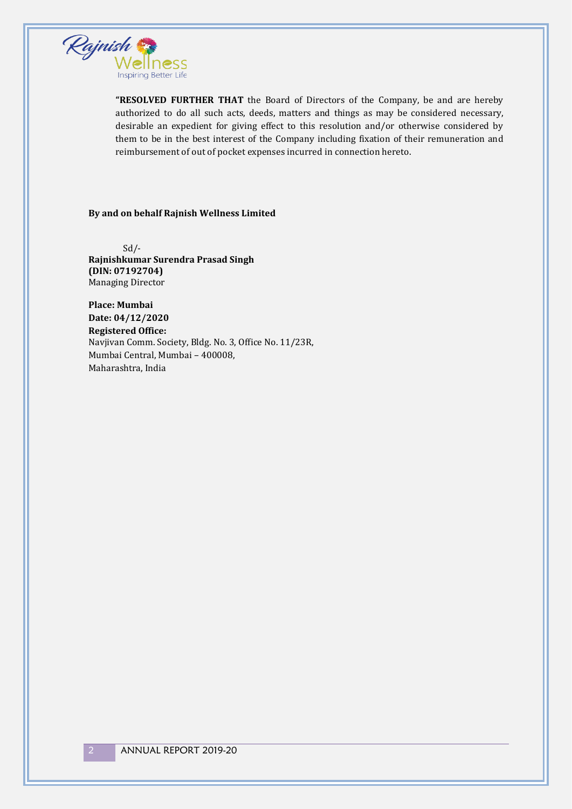

**"RESOLVED FURTHER THAT** the Board of Directors of the Company, be and are hereby authorized to do all such acts, deeds, matters and things as may be considered necessary, desirable an expedient for giving effect to this resolution and/or otherwise considered by them to be in the best interest of the Company including fixation of their remuneration and reimbursement of out of pocket expenses incurred in connection hereto.

#### **By and on behalf Rajnish Wellness Limited**

 $Sd/-$ **Rajnishkumar Surendra Prasad Singh (DIN: 07192704)** Managing Director

**Place: Mumbai Date: 04/12/2020 Registered Office:**  Navjivan Comm. Society, Bldg. No. 3, Office No. 11/23R, Mumbai Central, Mumbai – 400008, Maharashtra, India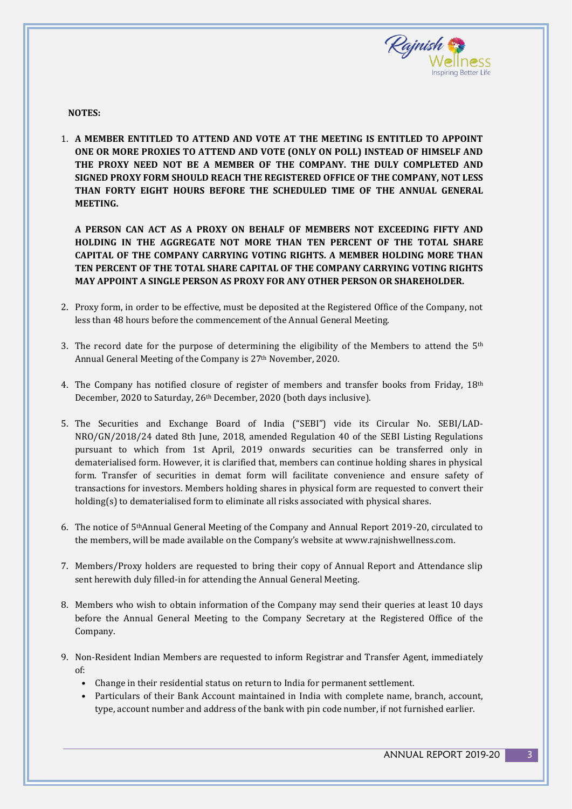

**NOTES:**

1. **A MEMBER ENTITLED TO ATTEND AND VOTE AT THE MEETING IS ENTITLED TO APPOINT ONE OR MORE PROXIES TO ATTEND AND VOTE (ONLY ON POLL) INSTEAD OF HIMSELF AND THE PROXY NEED NOT BE A MEMBER OF THE COMPANY. THE DULY COMPLETED AND SIGNED PROXY FORM SHOULD REACH THE REGISTERED OFFICE OF THE COMPANY, NOT LESS THAN FORTY EIGHT HOURS BEFORE THE SCHEDULED TIME OF THE ANNUAL GENERAL MEETING.**

**A PERSON CAN ACT AS A PROXY ON BEHALF OF MEMBERS NOT EXCEEDING FIFTY AND HOLDING IN THE AGGREGATE NOT MORE THAN TEN PERCENT OF THE TOTAL SHARE CAPITAL OF THE COMPANY CARRYING VOTING RIGHTS. A MEMBER HOLDING MORE THAN TEN PERCENT OF THE TOTAL SHARE CAPITAL OF THE COMPANY CARRYING VOTING RIGHTS MAY APPOINT A SINGLE PERSON AS PROXY FOR ANY OTHER PERSON OR SHAREHOLDER.**

- 2. Proxy form, in order to be effective, must be deposited at the Registered Office of the Company, not less than 48 hours before the commencement of the Annual General Meeting.
- 3. The record date for the purpose of determining the eligibility of the Members to attend the  $5<sup>th</sup>$ Annual General Meeting of the Company is 27<sup>th</sup> November, 2020.
- 4. The Company has notified closure of register of members and transfer books from Friday,  $18<sup>th</sup>$ December, 2020 to Saturday, 26th December, 2020 (both days inclusive).
- 5. The Securities and Exchange Board of India ("SEBI") vide its Circular No. SEBI/LAD-NRO/GN/2018/24 dated 8th June, 2018, amended Regulation 40 of the SEBI Listing Regulations pursuant to which from 1st April, 2019 onwards securities can be transferred only in dematerialised form. However, it is clarified that, members can continue holding shares in physical form. Transfer of securities in demat form will facilitate convenience and ensure safety of transactions for investors. Members holding shares in physical form are requested to convert their holding(s) to dematerialised form to eliminate all risks associated with physical shares.
- 6. The notice of 5thAnnual General Meeting of the Company and Annual Report 2019-20, circulated to the members, will be made available on the Company's website at www.rajnishwellness.com.
- 7. Members/Proxy holders are requested to bring their copy of Annual Report and Attendance slip sent herewith duly filled-in for attending the Annual General Meeting.
- 8. Members who wish to obtain information of the Company may send their queries at least 10 days before the Annual General Meeting to the Company Secretary at the Registered Office of the Company.
- 9. Non-Resident Indian Members are requested to inform Registrar and Transfer Agent, immediately of:
	- Change in their residential status on return to India for permanent settlement.
	- Particulars of their Bank Account maintained in India with complete name, branch, account, type, account number and address of the bank with pin code number, if not furnished earlier.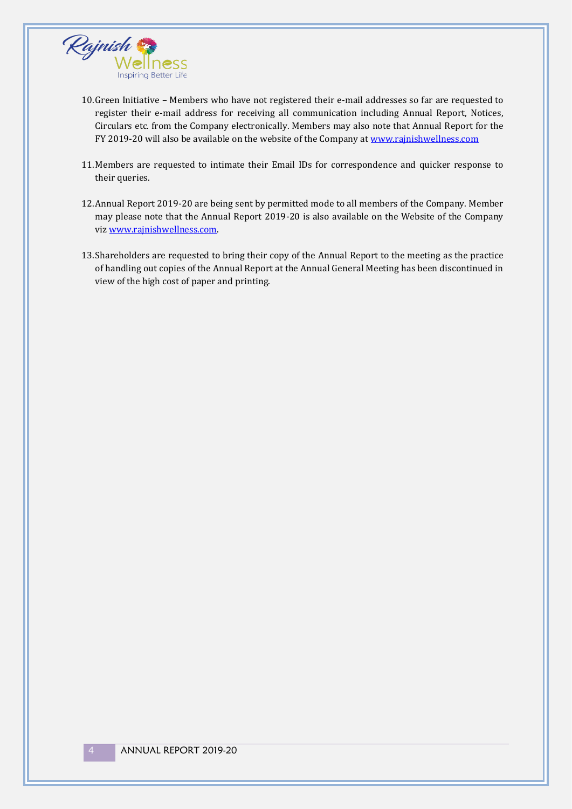

- 10.Green Initiative Members who have not registered their e-mail addresses so far are requested to register their e-mail address for receiving all communication including Annual Report, Notices, Circulars etc. from the Company electronically. Members may also note that Annual Report for the FY 2019-20 will also be available on the website of the Company at www.rajnishwellness.com
- 11.Members are requested to intimate their Email IDs for correspondence and quicker response to their queries.
- 12.Annual Report 2019-20 are being sent by permitted mode to all members of the Company. Member may please note that the Annual Report 2019-20 is also available on the Website of the Company viz www.rajnishwellness.com.
- 13.Shareholders are requested to bring their copy of the Annual Report to the meeting as the practice of handling out copies of the Annual Report at the Annual General Meeting has been discontinued in view of the high cost of paper and printing.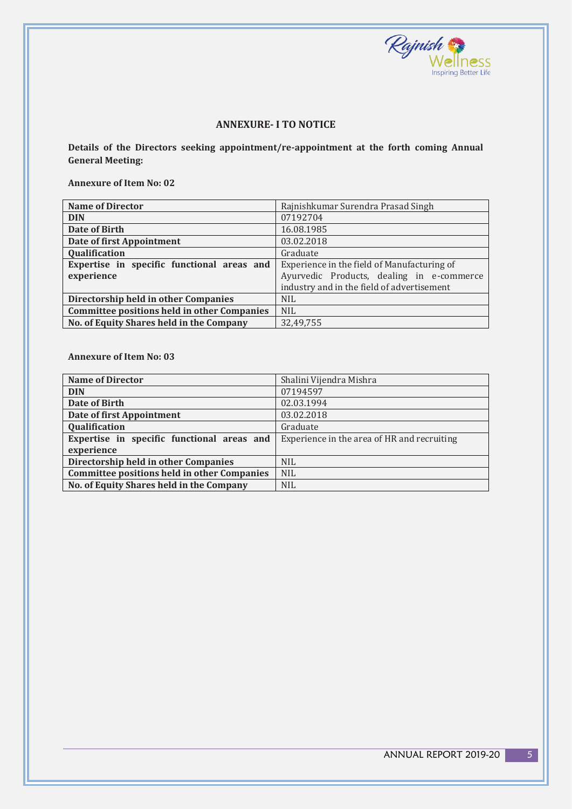

### **ANNEXURE- I TO NOTICE**

**Details of the Directors seeking appointment/re-appointment at the forth coming Annual General Meeting:**

**Annexure of Item No: 02**

| <b>Name of Director</b>                            | Rajnishkumar Surendra Prasad Singh          |  |  |
|----------------------------------------------------|---------------------------------------------|--|--|
| <b>DIN</b>                                         | 07192704                                    |  |  |
| Date of Birth                                      | 16.08.1985                                  |  |  |
| Date of first Appointment                          | 03.02.2018                                  |  |  |
| Qualification                                      | Graduate                                    |  |  |
| Expertise in specific functional areas and         | Experience in the field of Manufacturing of |  |  |
| experience                                         | Ayurvedic Products, dealing in e-commerce   |  |  |
|                                                    | industry and in the field of advertisement  |  |  |
| Directorship held in other Companies               | <b>NIL</b>                                  |  |  |
| <b>Committee positions held in other Companies</b> | <b>NIL</b>                                  |  |  |
| No. of Equity Shares held in the Company           | 32.49.755                                   |  |  |

**Annexure of Item No: 03**

| <b>Name of Director</b>                            | Shalini Vijendra Mishra                     |
|----------------------------------------------------|---------------------------------------------|
| <b>DIN</b>                                         | 07194597                                    |
| Date of Birth                                      | 02.03.1994                                  |
| Date of first Appointment                          | 03.02.2018                                  |
| Qualification                                      | Graduate                                    |
| Expertise in specific functional areas and         | Experience in the area of HR and recruiting |
| experience                                         |                                             |
| Directorship held in other Companies               | <b>NIL</b>                                  |
| <b>Committee positions held in other Companies</b> | <b>NIL</b>                                  |
| No. of Equity Shares held in the Company           | <b>NIL</b>                                  |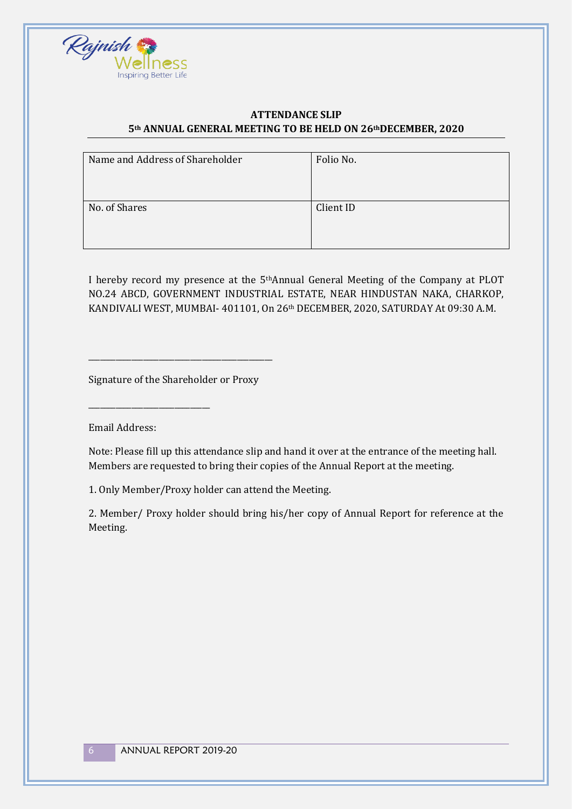

## **ATTENDANCE SLIP 5th ANNUAL GENERAL MEETING TO BE HELD ON 26thDECEMBER, 2020**

| Folio No. |
|-----------|
|           |
|           |
|           |
|           |
|           |
|           |
| Client ID |
|           |
|           |
|           |
|           |
|           |
|           |

I hereby record my presence at the 5thAnnual General Meeting of the Company at PLOT NO.24 ABCD, GOVERNMENT INDUSTRIAL ESTATE, NEAR HINDUSTAN NAKA, CHARKOP, KANDIVALI WEST, MUMBAI- 401101, On 26th DECEMBER, 2020, SATURDAY At 09:30 A.M.

Signature of the Shareholder or Proxy

\_\_\_\_\_\_\_\_\_\_\_\_\_\_\_\_\_\_\_\_\_\_\_\_\_\_\_\_\_\_\_\_\_\_\_\_\_\_\_\_\_\_\_\_\_\_\_

Email Address:

\_\_\_\_\_\_\_\_\_\_\_\_\_\_\_\_\_\_\_\_\_\_\_\_\_\_\_\_\_\_\_

Note: Please fill up this attendance slip and hand it over at the entrance of the meeting hall. Members are requested to bring their copies of the Annual Report at the meeting.

1. Only Member/Proxy holder can attend the Meeting.

2. Member/ Proxy holder should bring his/her copy of Annual Report for reference at the Meeting.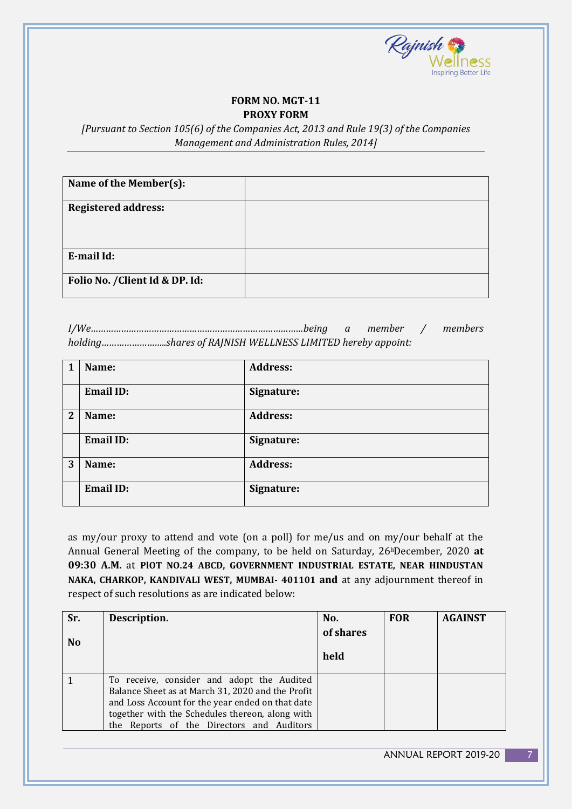

#### **FORM NO. MGT-11 PROXY FORM**

*[Pursuant to Section 105(6) of the Companies Act, 2013 and Rule 19(3) of the Companies Management and Administration Rules, 2014]*

| Name of the Member(s):          |  |
|---------------------------------|--|
| <b>Registered address:</b>      |  |
| E-mail Id:                      |  |
| Folio No. / Client Id & DP. Id: |  |

*I/We…………………………………………………………………………being a member / members holding……………………..shares of RAJNISH WELLNESS LIMITED hereby appoint:*

| 1 | Name:            | <b>Address:</b> |
|---|------------------|-----------------|
|   | <b>Email ID:</b> | Signature:      |
| 2 | Name:            | <b>Address:</b> |
|   | <b>Email ID:</b> | Signature:      |
| 3 | Name:            | <b>Address:</b> |
|   | <b>Email ID:</b> | Signature:      |

as my/our proxy to attend and vote (on a poll) for me/us and on my/our behalf at the Annual General Meeting of the company, to be held on Saturday, 26hDecember, 2020 **at 09:30 A.M.** at **PlOT NO.24 ABCD, GOVERNMENT INDUSTRIAL ESTATE, NEAR HINDUSTAN NAKA, CHARKOP, KANDIVALI WEST, MUMBAI- 401101 and** at any adjournment thereof in respect of such resolutions as are indicated below:

| Sr.<br>N <sub>o</sub> | Description.                                                                                                                                                                                                                                        | No.<br>of shares<br>held | <b>FOR</b> | <b>AGAINST</b> |
|-----------------------|-----------------------------------------------------------------------------------------------------------------------------------------------------------------------------------------------------------------------------------------------------|--------------------------|------------|----------------|
|                       | To receive, consider and adopt the Audited<br>Balance Sheet as at March 31, 2020 and the Profit<br>and Loss Account for the year ended on that date<br>together with the Schedules thereon, along with<br>the Reports of the Directors and Auditors |                          |            |                |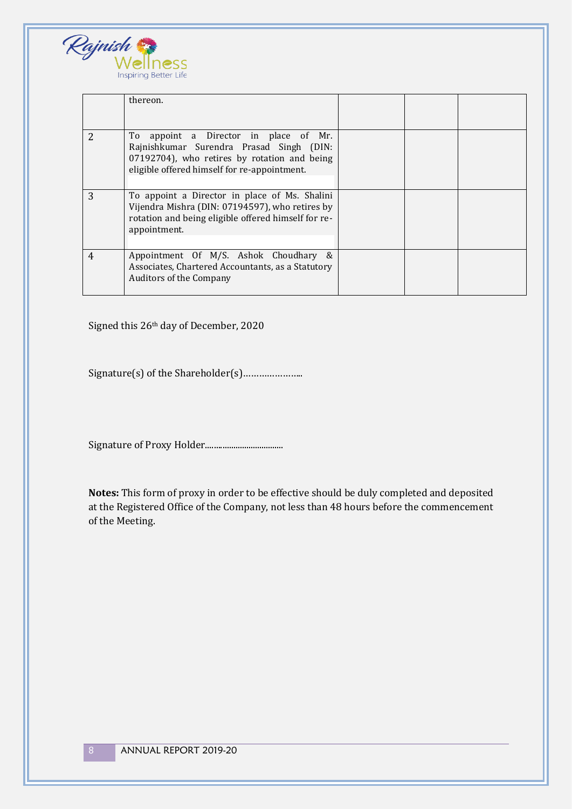

|                | thereon.                                                                                                                                                                          |  |  |
|----------------|-----------------------------------------------------------------------------------------------------------------------------------------------------------------------------------|--|--|
| $\overline{2}$ | To appoint a Director in place of Mr.<br>Rajnishkumar Surendra Prasad Singh (DIN:<br>07192704), who retires by rotation and being<br>eligible offered himself for re-appointment. |  |  |
| 3              | To appoint a Director in place of Ms. Shalini<br>Vijendra Mishra (DIN: 07194597), who retires by<br>rotation and being eligible offered himself for re-<br>appointment.           |  |  |
| 4              | Appointment Of M/S. Ashok Choudhary &<br>Associates, Chartered Accountants, as a Statutory<br><b>Auditors of the Company</b>                                                      |  |  |

Signed this 26th day of December, 2020

Signature(s) of the Shareholder(s)…………………..

Signature of Proxy Holder....................................

**Notes:** This form of proxy in order to be effective should be duly completed and deposited at the Registered Office of the Company, not less than 48 hours before the commencement of the Meeting.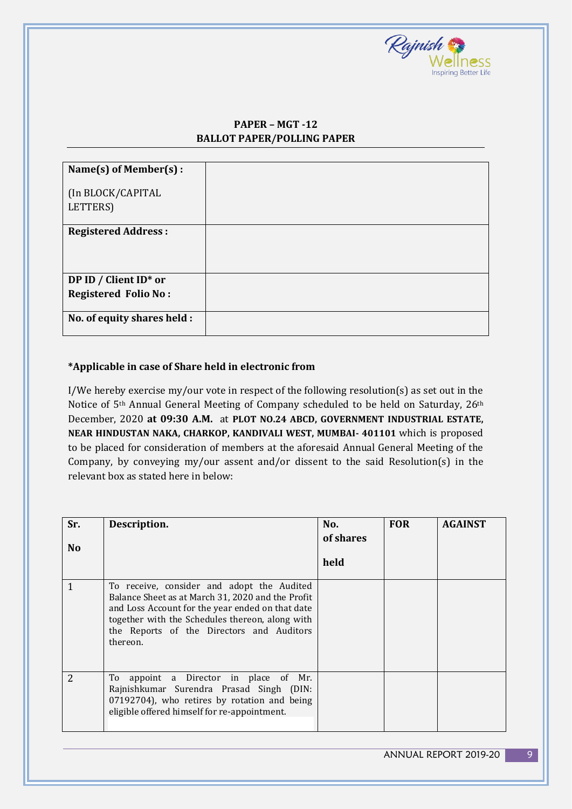

# **PAPER – MGT -12 BALLOT PAPER/POLLING PAPER**

| Name(s) of Member(s):         |  |
|-------------------------------|--|
| (In BLOCK/CAPITAL<br>LETTERS) |  |
|                               |  |
| <b>Registered Address:</b>    |  |
| DP ID / Client ID* or         |  |
| <b>Registered Folio No:</b>   |  |
| No. of equity shares held :   |  |

## **\*Applicable in case of Share held in electronic from**

I/We hereby exercise my/our vote in respect of the following resolution(s) as set out in the Notice of 5th Annual General Meeting of Company scheduled to be held on Saturday, 26th December, 2020 **at 09:30 A.M.** at **PLOT NO.24 ABCD, GOVERNMENT INDUSTRIAL ESTATE, NEAR HINDUSTAN NAKA, CHARKOP, KANDIVALI WEST, MUMBAI- 401101** which is proposed to be placed for consideration of members at the aforesaid Annual General Meeting of the Company, by conveying my/our assent and/or dissent to the said Resolution(s) in the relevant box as stated here in below:

| Sr.<br>N <sub>o</sub> | Description.                                                                                                                                                                                                                                                    | No.<br>of shares<br>held | <b>FOR</b> | <b>AGAINST</b> |
|-----------------------|-----------------------------------------------------------------------------------------------------------------------------------------------------------------------------------------------------------------------------------------------------------------|--------------------------|------------|----------------|
| $\mathbf{1}$          | To receive, consider and adopt the Audited<br>Balance Sheet as at March 31, 2020 and the Profit<br>and Loss Account for the year ended on that date<br>together with the Schedules thereon, along with<br>the Reports of the Directors and Auditors<br>thereon. |                          |            |                |
| $\overline{2}$        | appoint a Director in place of Mr.<br>To<br>Rajnishkumar Surendra Prasad Singh (DIN:<br>07192704), who retires by rotation and being<br>eligible offered himself for re-appointment.                                                                            |                          |            |                |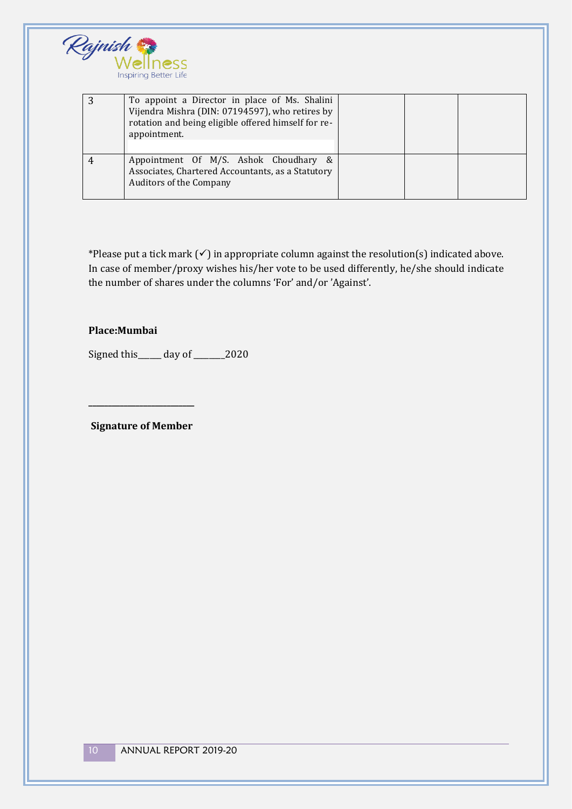

| To appoint a Director in place of Ms. Shalini<br>Vijendra Mishra (DIN: 07194597), who retires by<br>rotation and being eligible offered himself for re-<br>appointment. |  |  |
|-------------------------------------------------------------------------------------------------------------------------------------------------------------------------|--|--|
| Appointment Of M/S. Ashok Choudhary &<br>Associates, Chartered Accountants, as a Statutory<br><b>Auditors of the Company</b>                                            |  |  |

\*Please put a tick mark (✓) in appropriate column against the resolution(s) indicated above. In case of member/proxy wishes his/her vote to be used differently, he/she should indicate the number of shares under the columns 'For' and/or 'Against'.

### **Place:Mumbai**

Signed this\_\_\_\_\_\_ day of \_\_\_\_\_\_\_ 2020

**Signature of Member**

**\_\_\_\_\_\_\_\_\_\_\_\_\_\_\_\_\_\_\_\_\_\_\_\_\_\_\_**